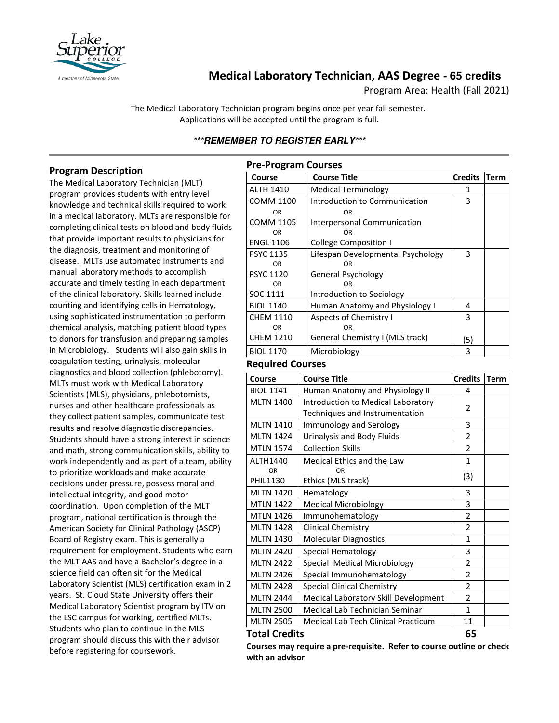

# **Medical Laboratory Technician, AAS Degree - 65 credits**

Program Area: Health (Fall 2021)

The Medical Laboratory Technician program begins once per year fall semester. Applications will be accepted until the program is full.

# **\*\*\*REMEMBER TO REGISTER EARLY\*\*\***

### **Program Description**

The Medical Laboratory Technician (MLT) program provides students with entry level knowledge and technical skills required to work in a medical laboratory. MLTs are responsible for completing clinical tests on blood and body fluids that provide important results to physicians for the diagnosis, treatment and monitoring of disease. MLTs use automated instruments and manual laboratory methods to accomplish accurate and timely testing in each department of the clinical laboratory. Skills learned include counting and identifying cells in Hematology, using sophisticated instrumentation to perform chemical analysis, matching patient blood types to donors for transfusion and preparing samples in Microbiology. Students will also gain skills in coagulation testing, urinalysis, molecular diagnostics and blood collection (phlebotomy). MLTs must work with Medical Laboratory Scientists (MLS), physicians, phlebotomists, nurses and other healthcare professionals as they collect patient samples, communicate test results and resolve diagnostic discrepancies. Students should have a strong interest in science and math, strong communication skills, ability to work independently and as part of a team, ability to prioritize workloads and make accurate decisions under pressure, possess moral and intellectual integrity, and good motor coordination. Upon completion of the MLT program, national certification is through the American Society for Clinical Pathology (ASCP) Board of Registry exam. This is generally a requirement for employment. Students who earn the MLT AAS and have a Bachelor's degree in a science field can often sit for the Medical Laboratory Scientist (MLS) certification exam in 2 years. St. Cloud State University offers their Medical Laboratory Scientist program by ITV on the LSC campus for working, certified MLTs. Students who plan to continue in the MLS program should discuss this with their advisor before registering for coursework.

| <b>Pre-Program Courses</b> |                                   |                |             |  |
|----------------------------|-----------------------------------|----------------|-------------|--|
| Course                     | <b>Course Title</b>               | <b>Credits</b> | <b>Term</b> |  |
| <b>ALTH 1410</b>           | <b>Medical Terminology</b>        | 1              |             |  |
| COMM 1100                  | Introduction to Communication     | 3              |             |  |
| <b>OR</b>                  | 0R                                |                |             |  |
| COMM 1105                  | Interpersonal Communication       |                |             |  |
| <b>OR</b>                  | OR                                |                |             |  |
| <b>ENGL 1106</b>           | <b>College Composition I</b>      |                |             |  |
| <b>PSYC 1135</b>           | Lifespan Developmental Psychology | 3              |             |  |
| OR                         | OR                                |                |             |  |
| <b>PSYC 1120</b>           | General Psychology                |                |             |  |
| OR.                        | 0R                                |                |             |  |
| SOC 1111                   | Introduction to Sociology         |                |             |  |
| <b>BIOL 1140</b>           | Human Anatomy and Physiology I    | 4              |             |  |
| <b>CHEM 1110</b>           | Aspects of Chemistry I            | 3              |             |  |
| <b>OR</b>                  | OR                                |                |             |  |
| <b>CHEM 1210</b>           | General Chemistry I (MLS track)   | (5)            |             |  |
| <b>BIOL 1170</b>           | Microbiology                      | 3              |             |  |
| <b>Demodued C</b>          | $- - - - -$                       |                |             |  |

#### **Required Courses**

| Course               | <b>Course Title</b>                  | <b>Credits</b> | <b>Term</b> |
|----------------------|--------------------------------------|----------------|-------------|
| <b>BIOL 1141</b>     | Human Anatomy and Physiology II      | 4              |             |
| <b>MLTN 1400</b>     | Introduction to Medical Laboratory   | 2              |             |
|                      | Techniques and Instrumentation       |                |             |
| <b>MLTN 1410</b>     | Immunology and Serology              | 3              |             |
| <b>MLTN 1424</b>     | Urinalysis and Body Fluids           | $\overline{2}$ |             |
| <b>MTLN 1574</b>     | <b>Collection Skills</b>             | $\overline{2}$ |             |
| ALTH1440             | Medical Ethics and the Law           | $\mathbf{1}$   |             |
| OR                   | <b>OR</b>                            | (3)            |             |
| <b>PHIL1130</b>      | Ethics (MLS track)                   |                |             |
| <b>MLTN 1420</b>     | Hematology                           | 3              |             |
| <b>MTLN 1422</b>     | <b>Medical Microbiology</b>          | 3              |             |
| <b>MTLN 1426</b>     | Immunohematology                     | $\overline{2}$ |             |
| <b>MLTN 1428</b>     | <b>Clinical Chemistry</b>            | $\overline{2}$ |             |
| <b>MLTN 1430</b>     | <b>Molecular Diagnostics</b>         | $\mathbf{1}$   |             |
| <b>MLTN 2420</b>     | Special Hematology                   | 3              |             |
| <b>MLTN 2422</b>     | Special Medical Microbiology         | $\overline{2}$ |             |
| <b>MLTN 2426</b>     | Special Immunohematology             | $\overline{2}$ |             |
| <b>MLTN 2428</b>     | <b>Special Clinical Chemistry</b>    | $\mathfrak{p}$ |             |
| <b>MLTN 2444</b>     | Medical Laboratory Skill Development | $\overline{2}$ |             |
| <b>MLTN 2500</b>     | Medical Lab Technician Seminar       | $\mathbf{1}$   |             |
| <b>MLTN 2505</b>     | Medical Lab Tech Clinical Practicum  | 11             |             |
| <b>Total Credits</b> |                                      | 65             |             |

#### **Courses may require a pre-requisite. Refer to course outline or check with an advisor**